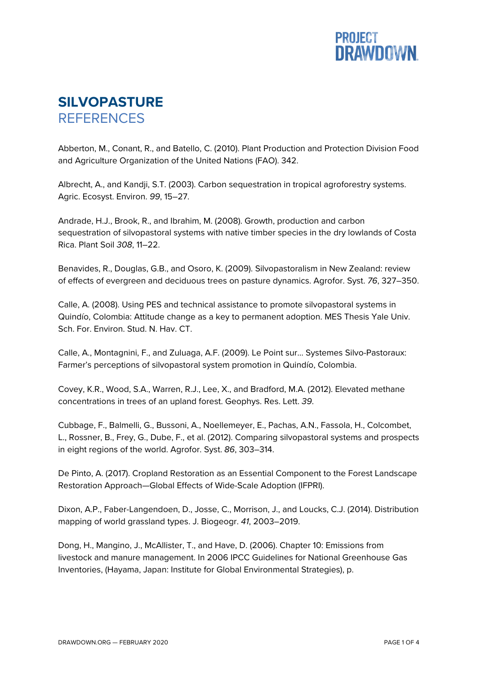

## **SILVOPASTURE REFERENCES**

Abberton, M., Conant, R., and Batello, C. (2010). Plant Production and Protection Division Food and Agriculture Organization of the United Nations (FAO). 342.

Albrecht, A., and Kandji, S.T. (2003). Carbon sequestration in tropical agroforestry systems. Agric. Ecosyst. Environ. *99*, 15–27.

Andrade, H.J., Brook, R., and Ibrahim, M. (2008). Growth, production and carbon sequestration of silvopastoral systems with native timber species in the dry lowlands of Costa Rica. Plant Soil *308*, 11–22.

Benavides, R., Douglas, G.B., and Osoro, K. (2009). Silvopastoralism in New Zealand: review of effects of evergreen and deciduous trees on pasture dynamics. Agrofor. Syst. *76*, 327–350.

Calle, A. (2008). Using PES and technical assistance to promote silvopastoral systems in Quindío, Colombia: Attitude change as a key to permanent adoption. MES Thesis Yale Univ. Sch. For. Environ. Stud. N. Hav. CT.

Calle, A., Montagnini, F., and Zuluaga, A.F. (2009). Le Point sur... Systemes Silvo-Pastoraux: Farmer's perceptions of silvopastoral system promotion in Quindío, Colombia.

Covey, K.R., Wood, S.A., Warren, R.J., Lee, X., and Bradford, M.A. (2012). Elevated methane concentrations in trees of an upland forest. Geophys. Res. Lett. *39*.

Cubbage, F., Balmelli, G., Bussoni, A., Noellemeyer, E., Pachas, A.N., Fassola, H., Colcombet, L., Rossner, B., Frey, G., Dube, F., et al. (2012). Comparing silvopastoral systems and prospects in eight regions of the world. Agrofor. Syst. *86*, 303–314.

De Pinto, A. (2017). Cropland Restoration as an Essential Component to the Forest Landscape Restoration Approach—Global Effects of Wide-Scale Adoption (IFPRI).

Dixon, A.P., Faber-Langendoen, D., Josse, C., Morrison, J., and Loucks, C.J. (2014). Distribution mapping of world grassland types. J. Biogeogr. *41*, 2003–2019.

Dong, H., Mangino, J., McAllister, T., and Have, D. (2006). Chapter 10: Emissions from livestock and manure management. In 2006 IPCC Guidelines for National Greenhouse Gas Inventories, (Hayama, Japan: Institute for Global Environmental Strategies), p.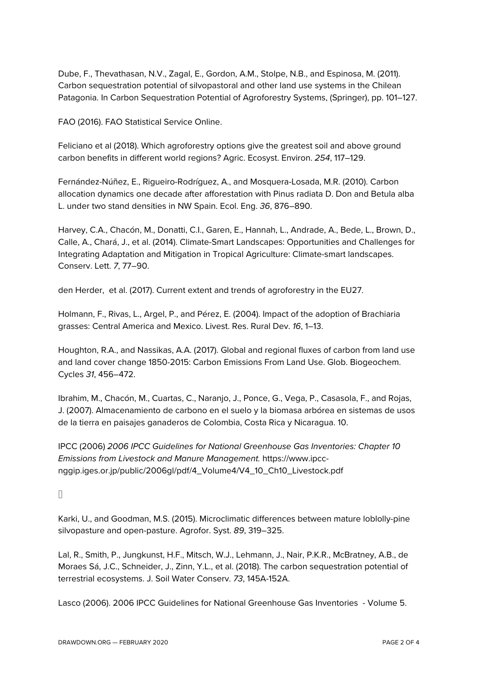Dube, F., Thevathasan, N.V., Zagal, E., Gordon, A.M., Stolpe, N.B., and Espinosa, M. (2011). Carbon sequestration potential of silvopastoral and other land use systems in the Chilean Patagonia. In Carbon Sequestration Potential of Agroforestry Systems, (Springer), pp. 101–127.

FAO (2016). FAO Statistical Service Online.

Feliciano et al (2018). Which agroforestry options give the greatest soil and above ground carbon benefits in different world regions? Agric. Ecosyst. Environ. *254*, 117–129.

Fernández-Núñez, E., Rigueiro-Rodríguez, A., and Mosquera-Losada, M.R. (2010). Carbon allocation dynamics one decade after afforestation with Pinus radiata D. Don and Betula alba L. under two stand densities in NW Spain. Ecol. Eng. *36*, 876–890.

Harvey, C.A., Chacón, M., Donatti, C.I., Garen, E., Hannah, L., Andrade, A., Bede, L., Brown, D., Calle, A., Chará, J., et al. (2014). Climate-Smart Landscapes: Opportunities and Challenges for Integrating Adaptation and Mitigation in Tropical Agriculture: Climate-smart landscapes. Conserv. Lett. *7*, 77–90.

den Herder, et al. (2017). Current extent and trends of agroforestry in the EU27.

Holmann, F., Rivas, L., Argel, P., and Pérez, E. (2004). Impact of the adoption of Brachiaria grasses: Central America and Mexico. Livest. Res. Rural Dev. *16*, 1–13.

Houghton, R.A., and Nassikas, A.A. (2017). Global and regional fluxes of carbon from land use and land cover change 1850-2015: Carbon Emissions From Land Use. Glob. Biogeochem. Cycles *31*, 456–472.

Ibrahim, M., Chacón, M., Cuartas, C., Naranjo, J., Ponce, G., Vega, P., Casasola, F., and Rojas, J. (2007). Almacenamiento de carbono en el suelo y la biomasa arbórea en sistemas de usos de la tierra en paisajes ganaderos de Colombia, Costa Rica y Nicaragua. 10.

IPCC (2006) *2006 IPCC Guidelines for National Greenhouse Gas Inventories: Chapter 10 Emissions from Livestock and Manure Management.* https://www.ipccnggip.iges.or.jp/public/2006gl/pdf/4\_Volume4/V4\_10\_Ch10\_Livestock.pdf

Karki, U., and Goodman, M.S. (2015). Microclimatic differences between mature loblolly-pine silvopasture and open-pasture. Agrofor. Syst. *89*, 319–325.

Lal, R., Smith, P., Jungkunst, H.F., Mitsch, W.J., Lehmann, J., Nair, P.K.R., McBratney, A.B., de Moraes Sá, J.C., Schneider, J., Zinn, Y.L., et al. (2018). The carbon sequestration potential of terrestrial ecosystems. J. Soil Water Conserv. *73*, 145A-152A.

Lasco (2006). 2006 IPCC Guidelines for National Greenhouse Gas Inventories - Volume 5.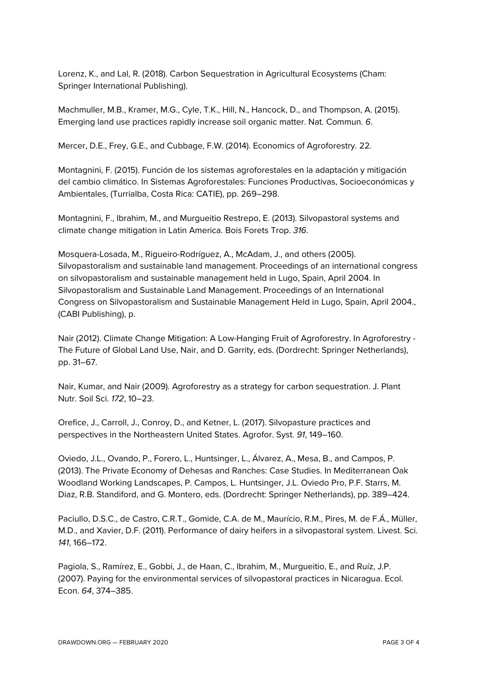Lorenz, K., and Lal, R. (2018). Carbon Sequestration in Agricultural Ecosystems (Cham: Springer International Publishing).

Machmuller, M.B., Kramer, M.G., Cyle, T.K., Hill, N., Hancock, D., and Thompson, A. (2015). Emerging land use practices rapidly increase soil organic matter. Nat. Commun. *6*.

Mercer, D.E., Frey, G.E., and Cubbage, F.W. (2014). Economics of Agroforestry. 22.

Montagnini, F. (2015). Función de los sistemas agroforestales en la adaptación y mitigación del cambio climático. In Sistemas Agroforestales: Funciones Productivas, Socioeconómicas y Ambientales, (Turrialba, Costa Rica: CATIE), pp. 269–298.

Montagnini, F., Ibrahim, M., and Murgueitio Restrepo, E. (2013). Silvopastoral systems and climate change mitigation in Latin America. Bois Forets Trop. *316*.

Mosquera-Losada, M., Rigueiro-Rodríguez, A., McAdam, J., and others (2005). Silvopastoralism and sustainable land management. Proceedings of an international congress on silvopastoralism and sustainable management held in Lugo, Spain, April 2004. In Silvopastoralism and Sustainable Land Management. Proceedings of an International Congress on Silvopastoralism and Sustainable Management Held in Lugo, Spain, April 2004., (CABI Publishing), p.

Nair (2012). Climate Change Mitigation: A Low-Hanging Fruit of Agroforestry. In Agroforestry - The Future of Global Land Use, Nair, and D. Garrity, eds. (Dordrecht: Springer Netherlands), pp. 31–67.

Nair, Kumar, and Nair (2009). Agroforestry as a strategy for carbon sequestration. J. Plant Nutr. Soil Sci. *172*, 10–23.

Orefice, J., Carroll, J., Conroy, D., and Ketner, L. (2017). Silvopasture practices and perspectives in the Northeastern United States. Agrofor. Syst. *91*, 149–160.

Oviedo, J.L., Ovando, P., Forero, L., Huntsinger, L., Álvarez, A., Mesa, B., and Campos, P. (2013). The Private Economy of Dehesas and Ranches: Case Studies. In Mediterranean Oak Woodland Working Landscapes, P. Campos, L. Huntsinger, J.L. Oviedo Pro, P.F. Starrs, M. Diaz, R.B. Standiford, and G. Montero, eds. (Dordrecht: Springer Netherlands), pp. 389–424.

Paciullo, D.S.C., de Castro, C.R.T., Gomide, C.A. de M., Maurício, R.M., Pires, M. de F.Á., Müller, M.D., and Xavier, D.F. (2011). Performance of dairy heifers in a silvopastoral system. Livest. Sci. *141*, 166–172.

Pagiola, S., Ramírez, E., Gobbi, J., de Haan, C., Ibrahim, M., Murgueitio, E., and Ruíz, J.P. (2007). Paying for the environmental services of silvopastoral practices in Nicaragua. Ecol. Econ. *64*, 374–385.